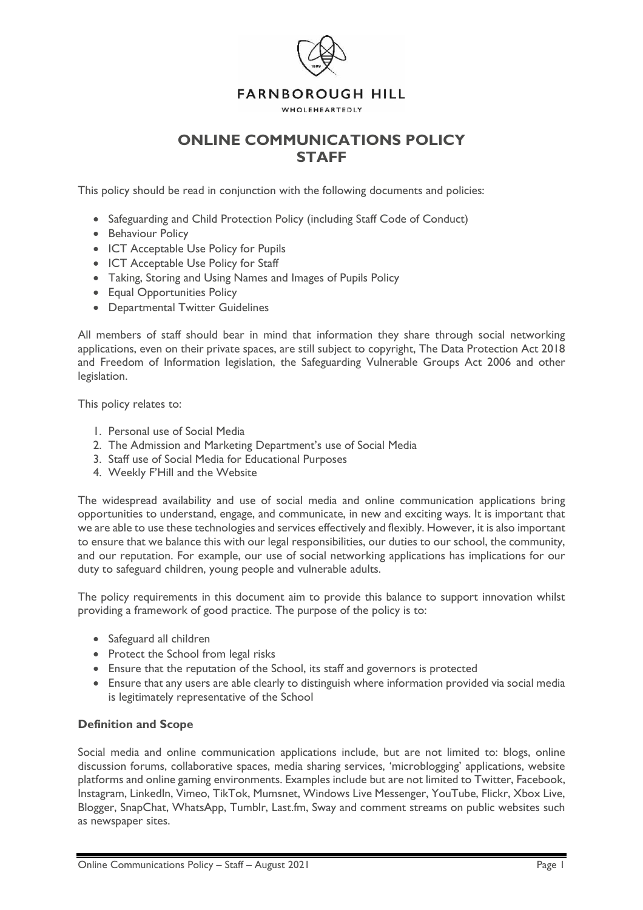

# **ONLINE COMMUNICATIONS POLICY STAFF**

This policy should be read in conjunction with the following documents and policies:

- Safeguarding and Child Protection Policy (including Staff Code of Conduct)
- Behaviour Policy
- ICT Acceptable Use Policy for Pupils
- ICT Acceptable Use Policy for Staff
- Taking, Storing and Using Names and Images of Pupils Policy
- Equal Opportunities Policy
- Departmental Twitter Guidelines

All members of staff should bear in mind that information they share through social networking applications, even on their private spaces, are still subject to copyright, The Data Protection Act 2018 and Freedom of Information legislation, the Safeguarding Vulnerable Groups Act 2006 and other legislation.

This policy relates to:

- 1. Personal use of Social Media
- 2. The Admission and Marketing Department's use of Social Media
- 3. Staff use of Social Media for Educational Purposes
- 4. Weekly F'Hill and the Website

The widespread availability and use of social media and online communication applications bring opportunities to understand, engage, and communicate, in new and exciting ways. It is important that we are able to use these technologies and services effectively and flexibly. However, it is also important to ensure that we balance this with our legal responsibilities, our duties to our school, the community, and our reputation. For example, our use of social networking applications has implications for our duty to safeguard children, young people and vulnerable adults.

The policy requirements in this document aim to provide this balance to support innovation whilst providing a framework of good practice. The purpose of the policy is to:

- Safeguard all children
- Protect the School from legal risks
- Ensure that the reputation of the School, its staff and governors is protected
- Ensure that any users are able clearly to distinguish where information provided via social media is legitimately representative of the School

#### **Definition and Scope**

Social media and online communication applications include, but are not limited to: blogs, online discussion forums, collaborative spaces, media sharing services, 'microblogging' applications, website platforms and online gaming environments. Examples include but are not limited to Twitter, Facebook, Instagram, LinkedIn, Vimeo, TikTok, Mumsnet, Windows Live Messenger, YouTube, Flickr, Xbox Live, Blogger, SnapChat, WhatsApp, Tumblr, Last.fm, Sway and comment streams on public websites such as newspaper sites.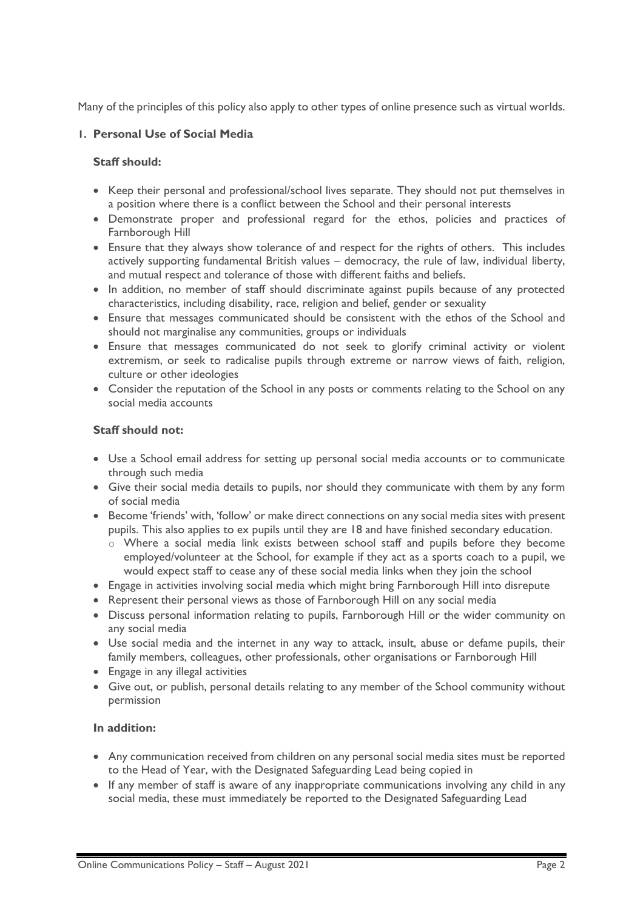Many of the principles of this policy also apply to other types of online presence such as virtual worlds.

# **1. Personal Use of Social Media**

### **Staff should:**

- Keep their personal and professional/school lives separate. They should not put themselves in a position where there is a conflict between the School and their personal interests
- Demonstrate proper and professional regard for the ethos, policies and practices of Farnborough Hill
- Ensure that they always show tolerance of and respect for the rights of others. This includes actively supporting fundamental British values – democracy, the rule of law, individual liberty, and mutual respect and tolerance of those with different faiths and beliefs.
- In addition, no member of staff should discriminate against pupils because of any protected characteristics, including disability, race, religion and belief, gender or sexuality
- Ensure that messages communicated should be consistent with the ethos of the School and should not marginalise any communities, groups or individuals
- Ensure that messages communicated do not seek to glorify criminal activity or violent extremism, or seek to radicalise pupils through extreme or narrow views of faith, religion, culture or other ideologies
- Consider the reputation of the School in any posts or comments relating to the School on any social media accounts

### **Staff should not:**

- Use a School email address for setting up personal social media accounts or to communicate through such media
- Give their social media details to pupils, nor should they communicate with them by any form of social media
- Become 'friends' with, 'follow' or make direct connections on any social media sites with present pupils. This also applies to ex pupils until they are 18 and have finished secondary education.
	- o Where a social media link exists between school staff and pupils before they become employed/volunteer at the School, for example if they act as a sports coach to a pupil, we would expect staff to cease any of these social media links when they join the school
- Engage in activities involving social media which might bring Farnborough Hill into disrepute
- Represent their personal views as those of Farnborough Hill on any social media
- Discuss personal information relating to pupils, Farnborough Hill or the wider community on any social media
- Use social media and the internet in any way to attack, insult, abuse or defame pupils, their family members, colleagues, other professionals, other organisations or Farnborough Hill
- Engage in any illegal activities
- Give out, or publish, personal details relating to any member of the School community without permission

# **In addition:**

- Any communication received from children on any personal social media sites must be reported to the Head of Year, with the Designated Safeguarding Lead being copied in
- If any member of staff is aware of any inappropriate communications involving any child in any social media, these must immediately be reported to the Designated Safeguarding Lead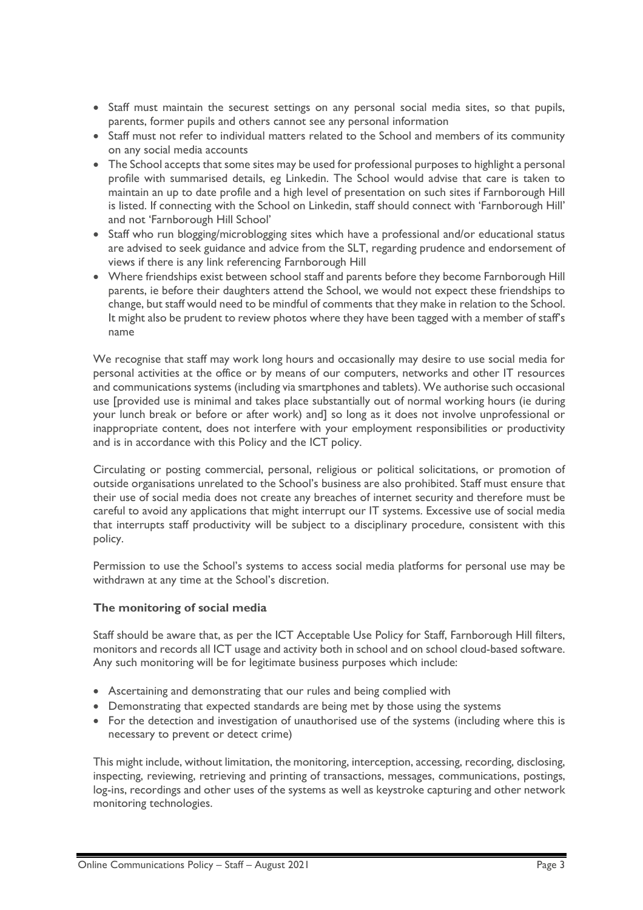- Staff must maintain the securest settings on any personal social media sites, so that pupils, parents, former pupils and others cannot see any personal information
- Staff must not refer to individual matters related to the School and members of its community on any social media accounts
- The School accepts that some sites may be used for professional purposes to highlight a personal profile with summarised details, eg Linkedin. The School would advise that care is taken to maintain an up to date profile and a high level of presentation on such sites if Farnborough Hill is listed. If connecting with the School on Linkedin, staff should connect with 'Farnborough Hill' and not 'Farnborough Hill School'
- Staff who run blogging/microblogging sites which have a professional and/or educational status are advised to seek guidance and advice from the SLT, regarding prudence and endorsement of views if there is any link referencing Farnborough Hill
- Where friendships exist between school staff and parents before they become Farnborough Hill parents, ie before their daughters attend the School, we would not expect these friendships to change, but staff would need to be mindful of comments that they make in relation to the School. It might also be prudent to review photos where they have been tagged with a member of staff's name

We recognise that staff may work long hours and occasionally may desire to use social media for personal activities at the office or by means of our computers, networks and other IT resources and communications systems (including via smartphones and tablets). We authorise such occasional use [provided use is minimal and takes place substantially out of normal working hours (ie during your lunch break or before or after work) and] so long as it does not involve unprofessional or inappropriate content, does not interfere with your employment responsibilities or productivity and is in accordance with this Policy and the ICT policy.

Circulating or posting commercial, personal, religious or political solicitations, or promotion of outside organisations unrelated to the School's business are also prohibited. Staff must ensure that their use of social media does not create any breaches of internet security and therefore must be careful to avoid any applications that might interrupt our IT systems. Excessive use of social media that interrupts staff productivity will be subject to a disciplinary procedure, consistent with this policy.

Permission to use the School's systems to access social media platforms for personal use may be withdrawn at any time at the School's discretion.

### **The monitoring of social media**

Staff should be aware that, as per the ICT Acceptable Use Policy for Staff, Farnborough Hill filters, monitors and records all ICT usage and activity both in school and on school cloud-based software. Any such monitoring will be for legitimate business purposes which include:

- Ascertaining and demonstrating that our rules and being complied with
- Demonstrating that expected standards are being met by those using the systems
- For the detection and investigation of unauthorised use of the systems (including where this is necessary to prevent or detect crime)

This might include, without limitation, the monitoring, interception, accessing, recording, disclosing, inspecting, reviewing, retrieving and printing of transactions, messages, communications, postings, log-ins, recordings and other uses of the systems as well as keystroke capturing and other network monitoring technologies.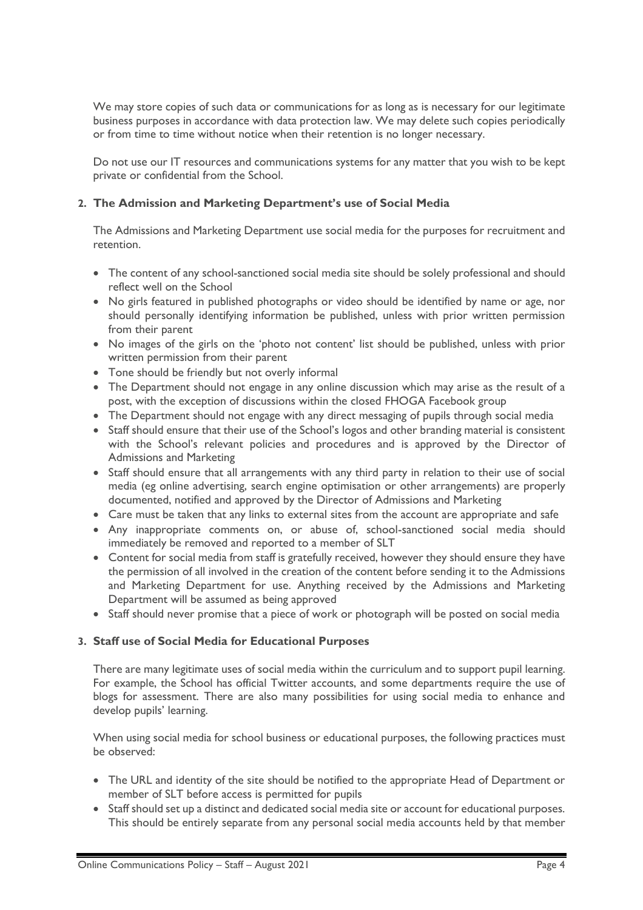We may store copies of such data or communications for as long as is necessary for our legitimate business purposes in accordance with data protection law. We may delete such copies periodically or from time to time without notice when their retention is no longer necessary.

Do not use our IT resources and communications systems for any matter that you wish to be kept private or confidential from the School.

### **2. The Admission and Marketing Department's use of Social Media**

The Admissions and Marketing Department use social media for the purposes for recruitment and retention.

- The content of any school-sanctioned social media site should be solely professional and should reflect well on the School
- No girls featured in published photographs or video should be identified by name or age, nor should personally identifying information be published, unless with prior written permission from their parent
- No images of the girls on the 'photo not content' list should be published, unless with prior written permission from their parent
- Tone should be friendly but not overly informal
- The Department should not engage in any online discussion which may arise as the result of a post, with the exception of discussions within the closed FHOGA Facebook group
- The Department should not engage with any direct messaging of pupils through social media
- Staff should ensure that their use of the School's logos and other branding material is consistent with the School's relevant policies and procedures and is approved by the Director of Admissions and Marketing
- Staff should ensure that all arrangements with any third party in relation to their use of social media (eg online advertising, search engine optimisation or other arrangements) are properly documented, notified and approved by the Director of Admissions and Marketing
- Care must be taken that any links to external sites from the account are appropriate and safe
- Any inappropriate comments on, or abuse of, school-sanctioned social media should immediately be removed and reported to a member of SLT
- Content for social media from staff is gratefully received, however they should ensure they have the permission of all involved in the creation of the content before sending it to the Admissions and Marketing Department for use. Anything received by the Admissions and Marketing Department will be assumed as being approved
- Staff should never promise that a piece of work or photograph will be posted on social media

### **3. Staff use of Social Media for Educational Purposes**

There are many legitimate uses of social media within the curriculum and to support pupil learning. For example, the School has official Twitter accounts, and some departments require the use of blogs for assessment. There are also many possibilities for using social media to enhance and develop pupils' learning.

When using social media for school business or educational purposes, the following practices must be observed:

- The URL and identity of the site should be notified to the appropriate Head of Department or member of SLT before access is permitted for pupils
- Staff should set up a distinct and dedicated social media site or account for educational purposes. This should be entirely separate from any personal social media accounts held by that member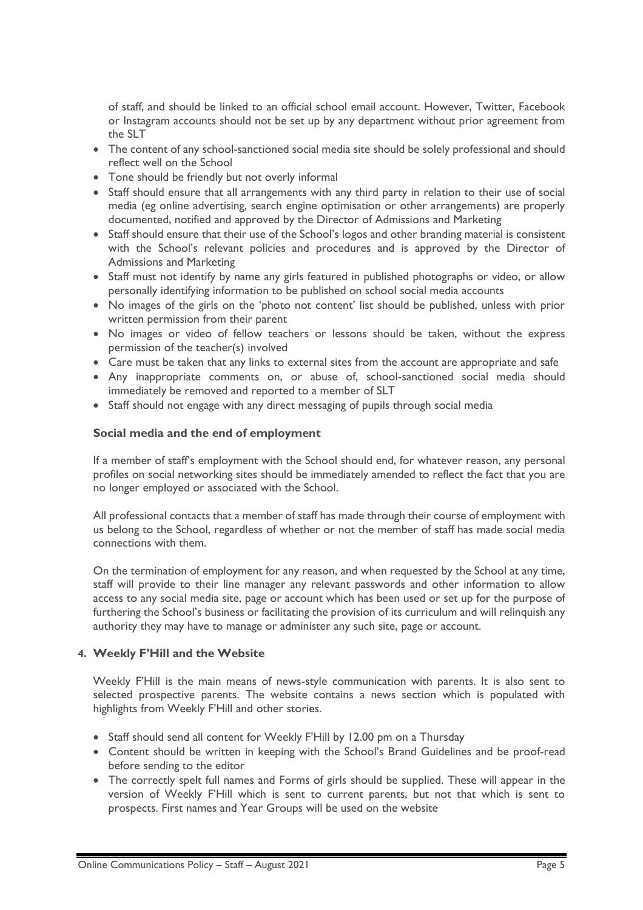of staff, and should be linked to an official school email account. However, Twitter, Facebook or Instagram accounts should not be set up by any department without prior agreement from the SLT

- The content of any school-sanctioned social media site should be solely professional and should reflect well on the School
- Tone should be friendly but not overly informal
- Staff should ensure that all arrangements with any third party in relation to their use of social media (eg online advertising, search engine optimisation or other arrangements) are properly documented, notified and approved by the Director of Admissions and Marketing
- Staff should ensure that their use of the School's logos and other branding material is consistent with the School's relevant policies and procedures and is approved by the Director of Admissions and Marketing
- Staff must not identify by name any girls featured in published photographs or video, or allow personally identifying information to be published on school social media accounts
- No images of the girls on the 'photo not content' list should be published, unless with prior written permission from their parent
- No images or video of fellow teachers or lessons should be taken, without the express permission of the teacher(s) involved
- Care must be taken that any links to external sites from the account are appropriate and safe
- Any inappropriate comments on, or abuse of, school-sanctioned social media should immediately be removed and reported to a member of SLT
- Staff should not engage with any direct messaging of pupils through social media

### **Social media and the end of employment**

If a member of staff's employment with the School should end, for whatever reason, any personal profiles on social networking sites should be immediately amended to reflect the fact that you are no longer employed or associated with the School.

All professional contacts that a member of staff has made through their course of employment with us belong to the School, regardless of whether or not the member of staff has made social media connections with them.

On the termination of employment for any reason, and when requested by the School at any time, staff will provide to their line manager any relevant passwords and other information to allow access to any social media site, page or account which has been used or set up for the purpose of furthering the School's business or facilitating the provision of its curriculum and will relinquish any authority they may have to manage or administer any such site, page or account.

### **4. Weekly F'Hill and the Website**

Weekly F'Hill is the main means of news-style communication with parents. It is also sent to selected prospective parents. The website contains a news section which is populated with highlights from Weekly F'Hill and other stories.

- Staff should send all content for Weekly F'Hill by 12.00 pm on a Thursday
- Content should be written in keeping with the School's Brand Guidelines and be proof-read before sending to the editor
- The correctly spelt full names and Forms of girls should be supplied. These will appear in the version of Weekly F'Hill which is sent to current parents, but not that which is sent to prospects. First names and Year Groups will be used on the website